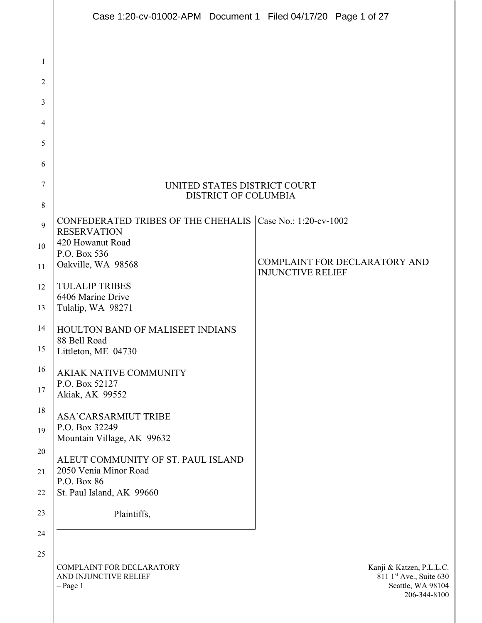|                | Case 1:20-cv-01002-APM Document 1 Filed 04/17/20 Page 1 of 27                    |                          |                                                                                          |  |
|----------------|----------------------------------------------------------------------------------|--------------------------|------------------------------------------------------------------------------------------|--|
|                |                                                                                  |                          |                                                                                          |  |
| 1              |                                                                                  |                          |                                                                                          |  |
| $\overline{2}$ |                                                                                  |                          |                                                                                          |  |
| 3              |                                                                                  |                          |                                                                                          |  |
| 4              |                                                                                  |                          |                                                                                          |  |
| 5              |                                                                                  |                          |                                                                                          |  |
| 6              |                                                                                  |                          |                                                                                          |  |
| 7<br>8         | UNITED STATES DISTRICT COURT<br><b>DISTRICT OF COLUMBIA</b>                      |                          |                                                                                          |  |
| 9              | CONFEDERATED TRIBES OF THE CHEHALIS Case No.: 1:20-cv-1002<br><b>RESERVATION</b> |                          |                                                                                          |  |
| 10             | 420 Howanut Road<br>P.O. Box 536                                                 |                          |                                                                                          |  |
| 11             | Oakville, WA 98568                                                               | <b>INJUNCTIVE RELIEF</b> | COMPLAINT FOR DECLARATORY AND                                                            |  |
| 12<br>13       | <b>TULALIP TRIBES</b><br>6406 Marine Drive<br>Tulalip, WA 98271                  |                          |                                                                                          |  |
| 14             | HOULTON BAND OF MALISEET INDIANS<br>88 Bell Road                                 |                          |                                                                                          |  |
| 15             | Littleton, ME 04730                                                              |                          |                                                                                          |  |
| 16<br>17       | <b>AKIAK NATIVE COMMUNITY</b><br>P.O. Box 52127                                  |                          |                                                                                          |  |
| 18             | Akiak, AK 99552                                                                  |                          |                                                                                          |  |
| 19             | <b>ASA'CARSARMIUT TRIBE</b><br>P.O. Box 32249<br>Mountain Village, AK 99632      |                          |                                                                                          |  |
| 20             | ALEUT COMMUNITY OF ST. PAUL ISLAND                                               |                          |                                                                                          |  |
| 21             | 2050 Venia Minor Road<br>P.O. Box 86                                             |                          |                                                                                          |  |
| 22             | St. Paul Island, AK 99660                                                        |                          |                                                                                          |  |
| 23             | Plaintiffs,                                                                      |                          |                                                                                          |  |
| 24             |                                                                                  |                          |                                                                                          |  |
| 25             | COMPLAINT FOR DECLARATORY<br>AND INJUNCTIVE RELIEF<br>- Page 1                   |                          | Kanji & Katzen, P.L.L.C.<br>811 1st Ave., Suite 630<br>Seattle, WA 98104<br>206-344-8100 |  |

 $\parallel$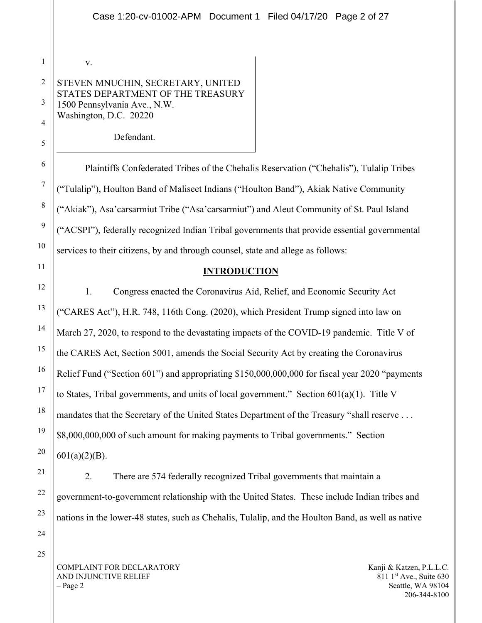v.

1

5

6

7

8

9

10

11

12

13

14

15

16

17

18

19

20

#### 2 3 4 STEVEN MNUCHIN, SECRETARY, UNITED STATES DEPARTMENT OF THE TREASURY 1500 Pennsylvania Ave., N.W. Washington, D.C. 20220

Defendant.

Plaintiffs Confederated Tribes of the Chehalis Reservation ("Chehalis"), Tulalip Tribes ("Tulalip"), Houlton Band of Maliseet Indians ("Houlton Band"), Akiak Native Community ("Akiak"), Asa'carsarmiut Tribe ("Asa'carsarmiut") and Aleut Community of St. Paul Island ("ACSPI"), federally recognized Indian Tribal governments that provide essential governmental services to their citizens, by and through counsel, state and allege as follows:

## **INTRODUCTION**

1. Congress enacted the Coronavirus Aid, Relief, and Economic Security Act ("CARES Act"), H.R. 748, 116th Cong. (2020), which President Trump signed into law on March 27, 2020, to respond to the devastating impacts of the COVID-19 pandemic. Title V of the CARES Act, Section 5001, amends the Social Security Act by creating the Coronavirus Relief Fund ("Section 601") and appropriating \$150,000,000,000 for fiscal year 2020 "payments to States, Tribal governments, and units of local government." Section 601(a)(1). Title V mandates that the Secretary of the United States Department of the Treasury "shall reserve . . . \$8,000,000,000 of such amount for making payments to Tribal governments." Section  $601(a)(2)(B)$ .

21 22

23

24

25

2. There are 574 federally recognized Tribal governments that maintain a government-to-government relationship with the United States. These include Indian tribes and nations in the lower-48 states, such as Chehalis, Tulalip, and the Houlton Band, as well as native

COMPLAINT FOR DECLARATORY AND INJUNCTIVE RELIEF – Page 2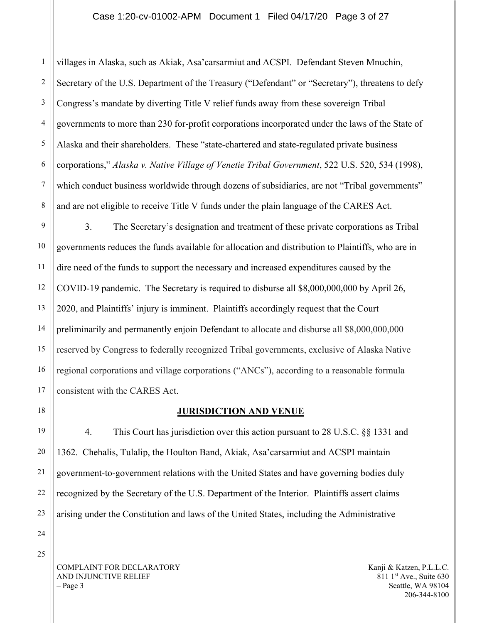#### Case 1:20-cv-01002-APM Document 1 Filed 04/17/20 Page 3 of 27

1 2 3 4 5 6 7 8 villages in Alaska, such as Akiak, Asa'carsarmiut and ACSPI. Defendant Steven Mnuchin, Secretary of the U.S. Department of the Treasury ("Defendant" or "Secretary"), threatens to defy Congress's mandate by diverting Title V relief funds away from these sovereign Tribal governments to more than 230 for-profit corporations incorporated under the laws of the State of Alaska and their shareholders. These "state-chartered and state-regulated private business corporations," *Alaska v. Native Village of Venetie Tribal Government*, 522 U.S. 520, 534 (1998), which conduct business worldwide through dozens of subsidiaries, are not "Tribal governments" and are not eligible to receive Title V funds under the plain language of the CARES Act.

9 10 11 12 13 14 15 16 17 3. The Secretary's designation and treatment of these private corporations as Tribal governments reduces the funds available for allocation and distribution to Plaintiffs, who are in dire need of the funds to support the necessary and increased expenditures caused by the COVID-19 pandemic. The Secretary is required to disburse all \$8,000,000,000 by April 26, 2020, and Plaintiffs' injury is imminent. Plaintiffs accordingly request that the Court preliminarily and permanently enjoin Defendant to allocate and disburse all \$8,000,000,000 reserved by Congress to federally recognized Tribal governments, exclusive of Alaska Native regional corporations and village corporations ("ANCs"), according to a reasonable formula consistent with the CARES Act.

18

19

20

21

22

23

#### **JURISDICTION AND VENUE**

4. This Court has jurisdiction over this action pursuant to 28 U.S.C. §§ 1331 and 1362. Chehalis, Tulalip, the Houlton Band, Akiak, Asa'carsarmiut and ACSPI maintain government-to-government relations with the United States and have governing bodies duly recognized by the Secretary of the U.S. Department of the Interior. Plaintiffs assert claims arising under the Constitution and laws of the United States, including the Administrative

24 25

> COMPLAINT FOR DECLARATORY AND INJUNCTIVE RELIEF – Page 3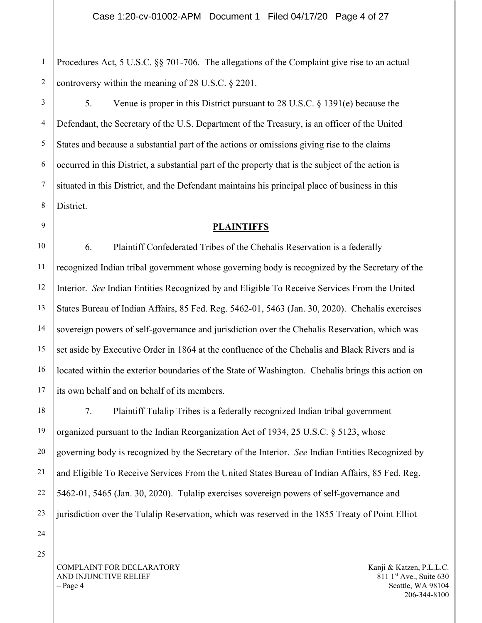1 2 Procedures Act, 5 U.S.C. §§ 701-706. The allegations of the Complaint give rise to an actual controversy within the meaning of 28 U.S.C. § 2201.

3 4 5 5. Venue is proper in this District pursuant to 28 U.S.C. § 1391(e) because the Defendant, the Secretary of the U.S. Department of the Treasury, is an officer of the United States and because a substantial part of the actions or omissions giving rise to the claims occurred in this District, a substantial part of the property that is the subject of the action is situated in this District, and the Defendant maintains his principal place of business in this District.

#### **PLAINTIFFS**

6. Plaintiff Confederated Tribes of the Chehalis Reservation is a federally recognized Indian tribal government whose governing body is recognized by the Secretary of the Interior. *See* Indian Entities Recognized by and Eligible To Receive Services From the United States Bureau of Indian Affairs, 85 Fed. Reg. 5462-01, 5463 (Jan. 30, 2020). Chehalis exercises sovereign powers of self-governance and jurisdiction over the Chehalis Reservation, which was set aside by Executive Order in 1864 at the confluence of the Chehalis and Black Rivers and is located within the exterior boundaries of the State of Washington. Chehalis brings this action on its own behalf and on behalf of its members.

7. Plaintiff Tulalip Tribes is a federally recognized Indian tribal government organized pursuant to the Indian Reorganization Act of 1934, 25 U.S.C. § 5123, whose governing body is recognized by the Secretary of the Interior. *See* Indian Entities Recognized by and Eligible To Receive Services From the United States Bureau of Indian Affairs, 85 Fed. Reg. 5462-01, 5465 (Jan. 30, 2020). Tulalip exercises sovereign powers of self-governance and jurisdiction over the Tulalip Reservation, which was reserved in the 1855 Treaty of Point Elliot

COMPLAINT FOR DECLARATORY AND INJUNCTIVE RELIEF – Page 4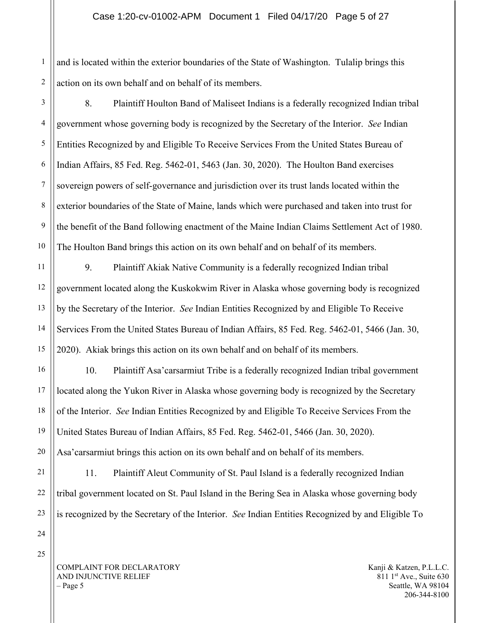#### Case 1:20-cv-01002-APM Document 1 Filed 04/17/20 Page 5 of 27

1 2 and is located within the exterior boundaries of the State of Washington. Tulalip brings this action on its own behalf and on behalf of its members.

3 4 8. Plaintiff Houlton Band of Maliseet Indians is a federally recognized Indian tribal government whose governing body is recognized by the Secretary of the Interior. *See* Indian Entities Recognized by and Eligible To Receive Services From the United States Bureau of Indian Affairs, 85 Fed. Reg. 5462-01, 5463 (Jan. 30, 2020). The Houlton Band exercises sovereign powers of self-governance and jurisdiction over its trust lands located within the exterior boundaries of the State of Maine, lands which were purchased and taken into trust for the benefit of the Band following enactment of the Maine Indian Claims Settlement Act of 1980. The Houlton Band brings this action on its own behalf and on behalf of its members.

9. Plaintiff Akiak Native Community is a federally recognized Indian tribal government located along the Kuskokwim River in Alaska whose governing body is recognized by the Secretary of the Interior. *See* Indian Entities Recognized by and Eligible To Receive Services From the United States Bureau of Indian Affairs, 85 Fed. Reg. 5462-01, 5466 (Jan. 30, 2020). Akiak brings this action on its own behalf and on behalf of its members.

10. Plaintiff Asa'carsarmiut Tribe is a federally recognized Indian tribal government located along the Yukon River in Alaska whose governing body is recognized by the Secretary of the Interior. *See* Indian Entities Recognized by and Eligible To Receive Services From the United States Bureau of Indian Affairs, 85 Fed. Reg. 5462-01, 5466 (Jan. 30, 2020). Asa'carsarmiut brings this action on its own behalf and on behalf of its members.

11. Plaintiff Aleut Community of St. Paul Island is a federally recognized Indian tribal government located on St. Paul Island in the Bering Sea in Alaska whose governing body is recognized by the Secretary of the Interior. *See* Indian Entities Recognized by and Eligible To

COMPLAINT FOR DECLARATORY AND INJUNCTIVE RELIEF  $-$  Page 5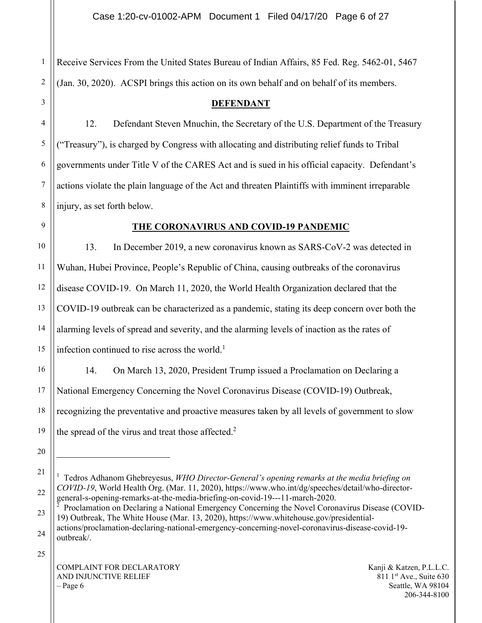1 2 Receive Services From the United States Bureau of Indian Affairs, 85 Fed. Reg. 5462-01, 5467 (Jan. 30, 2020). ACSPI brings this action on its own behalf and on behalf of its members.

**DEFENDANT**

12. Defendant Steven Mnuchin, the Secretary of the U.S. Department of the Treasury ("Treasury"), is charged by Congress with allocating and distributing relief funds to Tribal governments under Title V of the CARES Act and is sued in his official capacity. Defendant's actions violate the plain language of the Act and threaten Plaintiffs with imminent irreparable injury, as set forth below.

3

4

5

6

7

8

9

## **THE CORONAVIRUS AND COVID-19 PANDEMIC**

10 11 12 13 14 15 13. In December 2019, a new coronavirus known as SARS-CoV-2 was detected in Wuhan, Hubei Province, People's Republic of China, causing outbreaks of the coronavirus disease COVID-19. On March 11, 2020, the World Health Organization declared that the COVID-19 outbreak can be characterized as a pandemic, stating its deep concern over both the alarming levels of spread and severity, and the alarming levels of inaction as the rates of infection continued to rise across the world. $<sup>1</sup>$ </sup>

16 17 18 19 14. On March 13, 2020, President Trump issued a Proclamation on Declaring a National Emergency Concerning the Novel Coronavirus Disease (COVID-19) Outbreak, recognizing the preventative and proactive measures taken by all levels of government to slow the spread of the virus and treat those affected. $2$ 

21

22

<sup>20</sup>

<sup>&</sup>lt;sup>1</sup> Tedros Adhanom Ghebreyesus, *WHO Director-General's opening remarks at the media briefing on COVID-19*, World Health Org. (Mar. 11, 2020), https://www.who.int/dg/speeches/detail/who-directorgeneral-s-opening-remarks-at-the-media-briefing-on-covid-19---11-march-2020.

<sup>23</sup> 24 2 Proclamation on Declaring a National Emergency Concerning the Novel Coronavirus Disease (COVID-19) Outbreak, The White House (Mar. 13, 2020), https://www.whitehouse.gov/presidentialactions/proclamation-declaring-national-emergency-concerning-novel-coronavirus-disease-covid-19 outbreak/.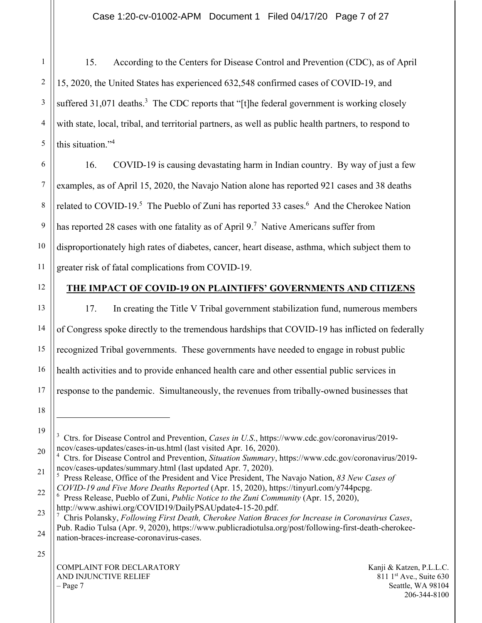4 15. According to the Centers for Disease Control and Prevention (CDC), as of April 15, 2020, the United States has experienced 632,548 confirmed cases of COVID-19, and suffered  $31,071$  deaths.<sup>3</sup> The CDC reports that "[t]he federal government is working closely with state, local, tribal, and territorial partners, as well as public health partners, to respond to this situation."<sup>4</sup>

16. COVID-19 is causing devastating harm in Indian country. By way of just a few examples, as of April 15, 2020, the Navajo Nation alone has reported 921 cases and 38 deaths related to COVID-19.<sup>5</sup> The Pueblo of Zuni has reported 33 cases.<sup>6</sup> And the Cherokee Nation has reported 28 cases with one fatality as of April 9.<sup>7</sup> Native Americans suffer from disproportionately high rates of diabetes, cancer, heart disease, asthma, which subject them to greater risk of fatal complications from COVID-19.

12

13

14

15

16

17

18

19

1

2

3

5

6

7

8

9

10

11

## **THE IMPACT OF COVID-19 ON PLAINTIFFS' GOVERNMENTS AND CITIZENS**

17. In creating the Title V Tribal government stabilization fund, numerous members of Congress spoke directly to the tremendous hardships that COVID-19 has inflicted on federally recognized Tribal governments. These governments have needed to engage in robust public health activities and to provide enhanced health care and other essential public services in response to the pandemic. Simultaneously, the revenues from tribally-owned businesses that

<sup>&</sup>lt;sup>3</sup> Ctrs. for Disease Control and Prevention, *Cases in U.S.*, https://www.cdc.gov/coronavirus/2019ncov/cases-updates/cases-in-us.html (last visited Apr. 16, 2020).

<sup>20</sup> 4 Ctrs. for Disease Control and Prevention, *Situation Summary*, https://www.cdc.gov/coronavirus/2019 ncov/cases-updates/summary.html (last updated Apr. 7, 2020).

<sup>21</sup> 22 5 Press Release, Office of the President and Vice President, The Navajo Nation, *83 New Cases of COVID-19 and Five More Deaths Reported* (Apr. 15, 2020), https://tinyurl.com/y744pcpg.

<sup>23</sup> 6 Press Release, Pueblo of Zuni, *Public Notice to the Zuni Community* (Apr. 15, 2020), http://www.ashiwi.org/COVID19/DailyPSAUpdate4-15-20.pdf.

<sup>24</sup> 7 Chris Polansky, *Following First Death, Cherokee Nation Braces for Increase in Coronavirus Cases*, Pub. Radio Tulsa (Apr. 9, 2020), https://www.publicradiotulsa.org/post/following-first-death-cherokeenation-braces-increase-coronavirus-cases.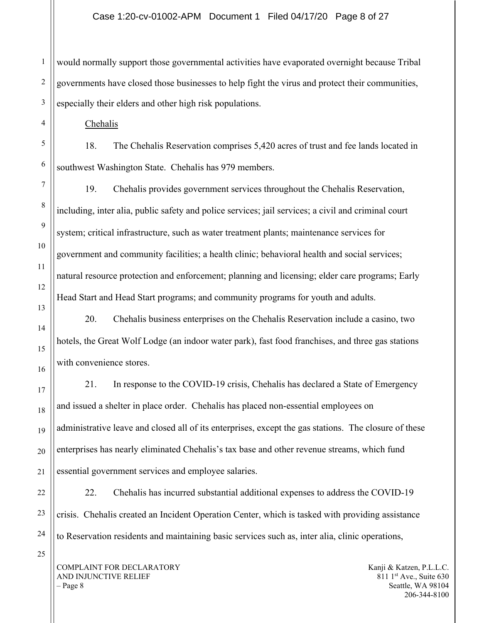#### Case 1:20-cv-01002-APM Document 1 Filed 04/17/20 Page 8 of 27

1 would normally support those governmental activities have evaporated overnight because Tribal governments have closed those businesses to help fight the virus and protect their communities, especially their elders and other high risk populations.

Chehalis

18. The Chehalis Reservation comprises 5,420 acres of trust and fee lands located in southwest Washington State. Chehalis has 979 members.

19. Chehalis provides government services throughout the Chehalis Reservation, including, inter alia, public safety and police services; jail services; a civil and criminal court system; critical infrastructure, such as water treatment plants; maintenance services for government and community facilities; a health clinic; behavioral health and social services; natural resource protection and enforcement; planning and licensing; elder care programs; Early Head Start and Head Start programs; and community programs for youth and adults.

20. Chehalis business enterprises on the Chehalis Reservation include a casino, two hotels, the Great Wolf Lodge (an indoor water park), fast food franchises, and three gas stations with convenience stores.

21. In response to the COVID-19 crisis, Chehalis has declared a State of Emergency and issued a shelter in place order. Chehalis has placed non-essential employees on administrative leave and closed all of its enterprises, except the gas stations. The closure of these enterprises has nearly eliminated Chehalis's tax base and other revenue streams, which fund essential government services and employee salaries.

22. Chehalis has incurred substantial additional expenses to address the COVID-19 crisis. Chehalis created an Incident Operation Center, which is tasked with providing assistance to Reservation residents and maintaining basic services such as, inter alia, clinic operations,

COMPLAINT FOR DECLARATORY AND INJUNCTIVE RELIEF – Page 8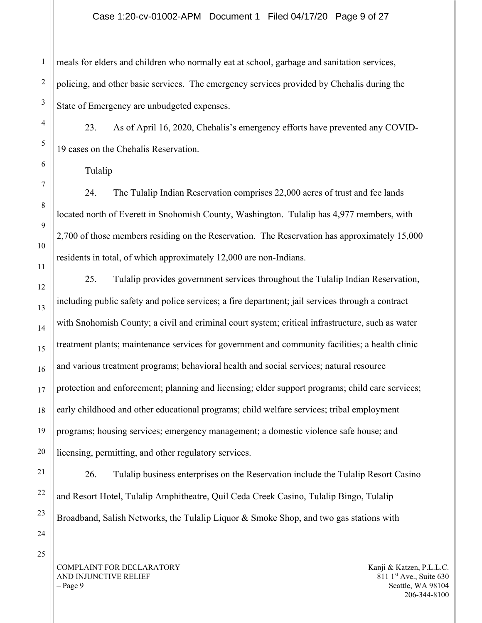### Case 1:20-cv-01002-APM Document 1 Filed 04/17/20 Page 9 of 27

meals for elders and children who normally eat at school, garbage and sanitation services, policing, and other basic services. The emergency services provided by Chehalis during the State of Emergency are unbudgeted expenses.

23. As of April 16, 2020, Chehalis's emergency efforts have prevented any COVID-19 cases on the Chehalis Reservation.

Tulalip

24. The Tulalip Indian Reservation comprises 22,000 acres of trust and fee lands located north of Everett in Snohomish County, Washington. Tulalip has 4,977 members, with 2,700 of those members residing on the Reservation. The Reservation has approximately 15,000 residents in total, of which approximately 12,000 are non-Indians.

25. Tulalip provides government services throughout the Tulalip Indian Reservation, including public safety and police services; a fire department; jail services through a contract with Snohomish County; a civil and criminal court system; critical infrastructure, such as water treatment plants; maintenance services for government and community facilities; a health clinic and various treatment programs; behavioral health and social services; natural resource protection and enforcement; planning and licensing; elder support programs; child care services; early childhood and other educational programs; child welfare services; tribal employment programs; housing services; emergency management; a domestic violence safe house; and licensing, permitting, and other regulatory services.

26. Tulalip business enterprises on the Reservation include the Tulalip Resort Casino and Resort Hotel, Tulalip Amphitheatre, Quil Ceda Creek Casino, Tulalip Bingo, Tulalip Broadband, Salish Networks, the Tulalip Liquor & Smoke Shop, and two gas stations with

COMPLAINT FOR DECLARATORY AND INJUNCTIVE RELIEF – Page 9

Kanji & Katzen, P.L.L.C. 811 1<sup>st</sup> Ave., Suite 630 Seattle, WA 98104 206-344-8100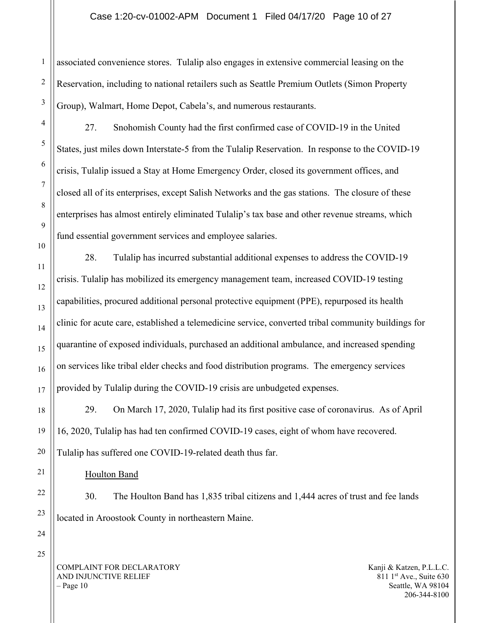### Case 1:20-cv-01002-APM Document 1 Filed 04/17/20 Page 10 of 27

associated convenience stores. Tulalip also engages in extensive commercial leasing on the Reservation, including to national retailers such as Seattle Premium Outlets (Simon Property Group), Walmart, Home Depot, Cabela's, and numerous restaurants.

27. Snohomish County had the first confirmed case of COVID-19 in the United States, just miles down Interstate-5 from the Tulalip Reservation. In response to the COVID-19 crisis, Tulalip issued a Stay at Home Emergency Order, closed its government offices, and closed all of its enterprises, except Salish Networks and the gas stations. The closure of these enterprises has almost entirely eliminated Tulalip's tax base and other revenue streams, which fund essential government services and employee salaries.

28. Tulalip has incurred substantial additional expenses to address the COVID-19 crisis. Tulalip has mobilized its emergency management team, increased COVID-19 testing capabilities, procured additional personal protective equipment (PPE), repurposed its health clinic for acute care, established a telemedicine service, converted tribal community buildings for quarantine of exposed individuals, purchased an additional ambulance, and increased spending on services like tribal elder checks and food distribution programs. The emergency services provided by Tulalip during the COVID-19 crisis are unbudgeted expenses.

29. On March 17, 2020, Tulalip had its first positive case of coronavirus. As of April 16, 2020, Tulalip has had ten confirmed COVID-19 cases, eight of whom have recovered. Tulalip has suffered one COVID-19-related death thus far.

Houlton Band

30. The Houlton Band has 1,835 tribal citizens and 1,444 acres of trust and fee lands located in Aroostook County in northeastern Maine.

COMPLAINT FOR DECLARATORY AND INJUNCTIVE RELIEF  $-$  Page 10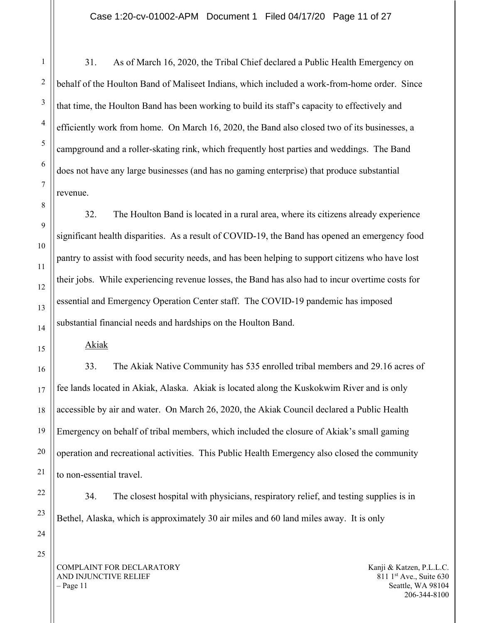Case 1:20-cv-01002-APM Document 1 Filed 04/17/20 Page 11 of 27

31. As of March 16, 2020, the Tribal Chief declared a Public Health Emergency on behalf of the Houlton Band of Maliseet Indians, which included a work-from-home order. Since that time, the Houlton Band has been working to build its staff's capacity to effectively and efficiently work from home. On March 16, 2020, the Band also closed two of its businesses, a campground and a roller-skating rink, which frequently host parties and weddings. The Band does not have any large businesses (and has no gaming enterprise) that produce substantial revenue.

32. The Houlton Band is located in a rural area, where its citizens already experience significant health disparities. As a result of COVID-19, the Band has opened an emergency food pantry to assist with food security needs, and has been helping to support citizens who have lost their jobs. While experiencing revenue losses, the Band has also had to incur overtime costs for essential and Emergency Operation Center staff. The COVID-19 pandemic has imposed substantial financial needs and hardships on the Houlton Band.

Akiak

33. The Akiak Native Community has 535 enrolled tribal members and 29.16 acres of fee lands located in Akiak, Alaska. Akiak is located along the Kuskokwim River and is only accessible by air and water. On March 26, 2020, the Akiak Council declared a Public Health Emergency on behalf of tribal members, which included the closure of Akiak's small gaming operation and recreational activities. This Public Health Emergency also closed the community to non-essential travel.

34. The closest hospital with physicians, respiratory relief, and testing supplies is in Bethel, Alaska, which is approximately 30 air miles and 60 land miles away. It is only

COMPLAINT FOR DECLARATORY AND INJUNCTIVE RELIEF  $-$  Page 11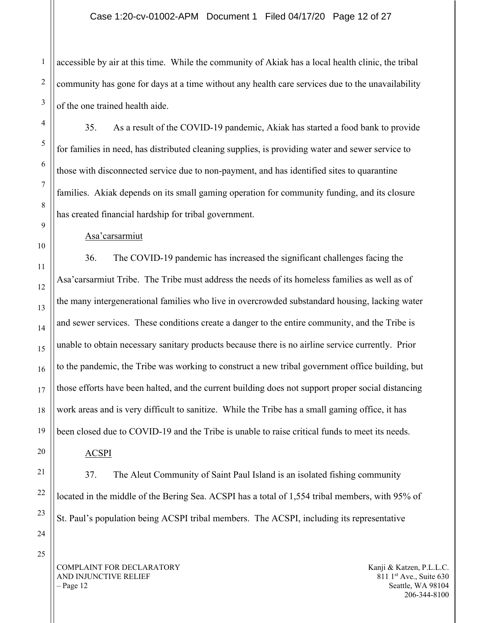#### Case 1:20-cv-01002-APM Document 1 Filed 04/17/20 Page 12 of 27

accessible by air at this time. While the community of Akiak has a local health clinic, the tribal community has gone for days at a time without any health care services due to the unavailability of the one trained health aide.

35. As a result of the COVID-19 pandemic, Akiak has started a food bank to provide for families in need, has distributed cleaning supplies, is providing water and sewer service to those with disconnected service due to non-payment, and has identified sites to quarantine families. Akiak depends on its small gaming operation for community funding, and its closure has created financial hardship for tribal government.

Asa'carsarmiut

36. The COVID-19 pandemic has increased the significant challenges facing the Asa'carsarmiut Tribe. The Tribe must address the needs of its homeless families as well as of the many intergenerational families who live in overcrowded substandard housing, lacking water and sewer services. These conditions create a danger to the entire community, and the Tribe is unable to obtain necessary sanitary products because there is no airline service currently. Prior to the pandemic, the Tribe was working to construct a new tribal government office building, but those efforts have been halted, and the current building does not support proper social distancing work areas and is very difficult to sanitize. While the Tribe has a small gaming office, it has been closed due to COVID-19 and the Tribe is unable to raise critical funds to meet its needs.

ACSPI

37. The Aleut Community of Saint Paul Island is an isolated fishing community located in the middle of the Bering Sea. ACSPI has a total of 1,554 tribal members, with 95% of St. Paul's population being ACSPI tribal members. The ACSPI, including its representative

COMPLAINT FOR DECLARATORY AND INJUNCTIVE RELIEF  $-$  Page 12

Kanji & Katzen, P.L.L.C.  $811 \text{ 1st}$  Ave., Suite 630 Seattle, WA 98104 206-344-8100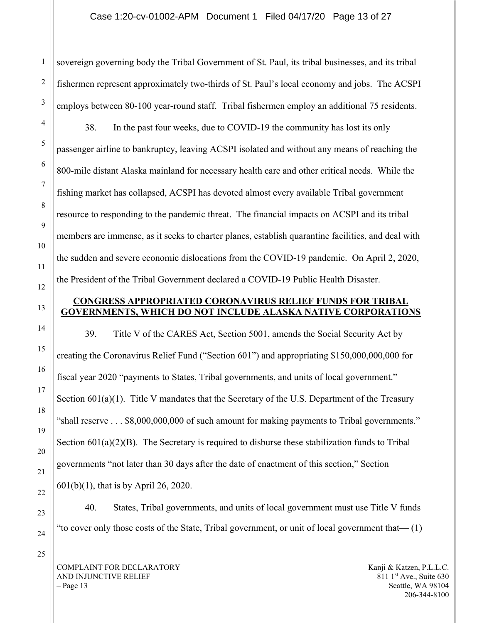sovereign governing body the Tribal Government of St. Paul, its tribal businesses, and its tribal fishermen represent approximately two-thirds of St. Paul's local economy and jobs. The ACSPI employs between 80-100 year-round staff. Tribal fishermen employ an additional 75 residents.

38. In the past four weeks, due to COVID-19 the community has lost its only passenger airline to bankruptcy, leaving ACSPI isolated and without any means of reaching the 800-mile distant Alaska mainland for necessary health care and other critical needs. While the fishing market has collapsed, ACSPI has devoted almost every available Tribal government resource to responding to the pandemic threat. The financial impacts on ACSPI and its tribal members are immense, as it seeks to charter planes, establish quarantine facilities, and deal with the sudden and severe economic dislocations from the COVID-19 pandemic. On April 2, 2020, the President of the Tribal Government declared a COVID-19 Public Health Disaster.

## **CONGRESS APPROPRIATED CORONAVIRUS RELIEF FUNDS FOR TRIBAL GOVERNMENTS, WHICH DO NOT INCLUDE ALASKA NATIVE CORPORATIONS**

39. Title V of the CARES Act, Section 5001, amends the Social Security Act by creating the Coronavirus Relief Fund ("Section 601") and appropriating \$150,000,000,000 for fiscal year 2020 "payments to States, Tribal governments, and units of local government." Section 601(a)(1). Title V mandates that the Secretary of the U.S. Department of the Treasury "shall reserve . . . \$8,000,000,000 of such amount for making payments to Tribal governments." Section 601(a)(2)(B). The Secretary is required to disburse these stabilization funds to Tribal governments "not later than 30 days after the date of enactment of this section," Section 601(b)(1), that is by April 26, 2020.

40. States, Tribal governments, and units of local government must use Title V funds "to cover only those costs of the State, Tribal government, or unit of local government that— (1)

COMPLAINT FOR DECLARATORY AND INJUNCTIVE RELIEF  $-$  Page 13

Kanji & Katzen, P.L.L.C. 811 1<sup>st</sup> Ave., Suite 630 Seattle, WA 98104 206-344-8100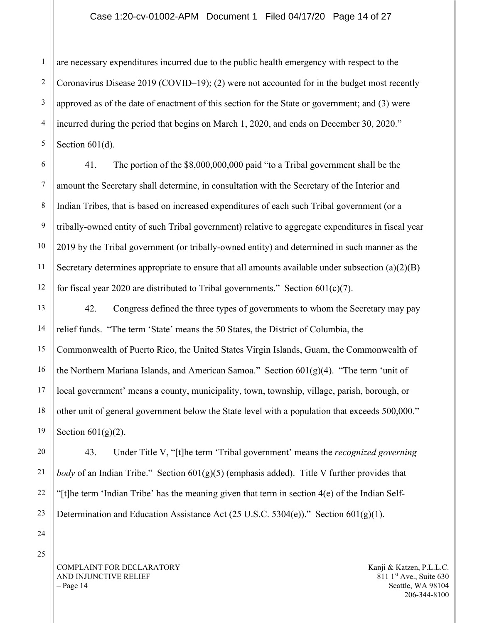#### Case 1:20-cv-01002-APM Document 1 Filed 04/17/20 Page 14 of 27

1 2 3 4 are necessary expenditures incurred due to the public health emergency with respect to the Coronavirus Disease 2019 (COVID–19); (2) were not accounted for in the budget most recently approved as of the date of enactment of this section for the State or government; and (3) were incurred during the period that begins on March 1, 2020, and ends on December 30, 2020." Section 601(d).

41. The portion of the \$8,000,000,000 paid "to a Tribal government shall be the amount the Secretary shall determine, in consultation with the Secretary of the Interior and Indian Tribes, that is based on increased expenditures of each such Tribal government (or a tribally-owned entity of such Tribal government) relative to aggregate expenditures in fiscal year 2019 by the Tribal government (or tribally-owned entity) and determined in such manner as the Secretary determines appropriate to ensure that all amounts available under subsection  $(a)(2)(B)$ for fiscal year 2020 are distributed to Tribal governments." Section  $601(c)(7)$ .

 42. Congress defined the three types of governments to whom the Secretary may pay relief funds. "The term 'State' means the 50 States, the District of Columbia, the Commonwealth of Puerto Rico, the United States Virgin Islands, Guam, the Commonwealth of the Northern Mariana Islands, and American Samoa." Section  $601(g)(4)$ . "The term 'unit of local government' means a county, municipality, town, township, village, parish, borough, or other unit of general government below the State level with a population that exceeds 500,000." Section  $601(g)(2)$ .

43. Under Title V, "[t]he term 'Tribal government' means the *recognized governing body* of an Indian Tribe." Section 601(g)(5) (emphasis added). Title V further provides that "[t]he term 'Indian Tribe' has the meaning given that term in section 4(e) of the Indian Self-Determination and Education Assistance Act  $(25 \text{ U.S.C. } 5304(e))$ ." Section  $601(g)(1)$ .

25

COMPLAINT FOR DECLARATORY AND INJUNCTIVE RELIEF – Page 14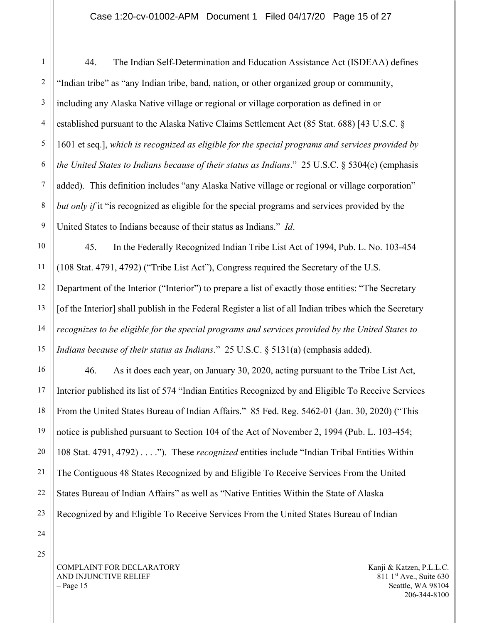1 2 3 4 5 6 44. The Indian Self-Determination and Education Assistance Act (ISDEAA) defines "Indian tribe" as "any Indian tribe, band, nation, or other organized group or community, including any Alaska Native village or regional or village corporation as defined in or established pursuant to the Alaska Native Claims Settlement Act (85 Stat. 688) [43 U.S.C. § 1601 et seq.], *which is recognized as eligible for the special programs and services provided by the United States to Indians because of their status as Indians*." 25 U.S.C. § 5304(e) (emphasis added). This definition includes "any Alaska Native village or regional or village corporation" *but only if* it "is recognized as eligible for the special programs and services provided by the United States to Indians because of their status as Indians." *Id*.

 45. In the Federally Recognized Indian Tribe List Act of 1994, Pub. L. No. 103-454 (108 Stat. 4791, 4792) ("Tribe List Act"), Congress required the Secretary of the U.S. Department of the Interior ("Interior") to prepare a list of exactly those entities: "The Secretary [of the Interior] shall publish in the Federal Register a list of all Indian tribes which the Secretary *recognizes to be eligible for the special programs and services provided by the United States to Indians because of their status as Indians*." 25 U.S.C. § 5131(a) (emphasis added).

46. As it does each year, on January 30, 2020, acting pursuant to the Tribe List Act, Interior published its list of 574 "Indian Entities Recognized by and Eligible To Receive Services From the United States Bureau of Indian Affairs." 85 Fed. Reg. 5462-01 (Jan. 30, 2020) ("This notice is published pursuant to Section 104 of the Act of November 2, 1994 (Pub. L. 103-454; 108 Stat. 4791, 4792) . . . ."). These *recognized* entities include "Indian Tribal Entities Within The Contiguous 48 States Recognized by and Eligible To Receive Services From the United States Bureau of Indian Affairs" as well as "Native Entities Within the State of Alaska Recognized by and Eligible To Receive Services From the United States Bureau of Indian

COMPLAINT FOR DECLARATORY AND INJUNCTIVE RELIEF – Page 15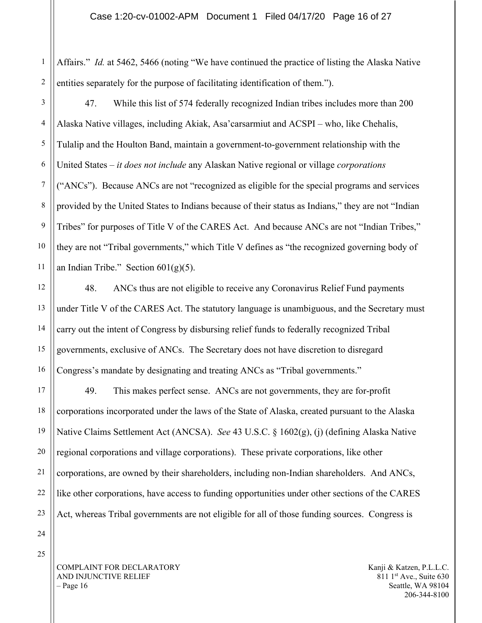1 2 Affairs." *Id.* at 5462, 5466 (noting "We have continued the practice of listing the Alaska Native entities separately for the purpose of facilitating identification of them.").

47. While this list of 574 federally recognized Indian tribes includes more than 200 Alaska Native villages, including Akiak, Asa'carsarmiut and ACSPI – who, like Chehalis, Tulalip and the Houlton Band, maintain a government-to-government relationship with the United States – *it does not include* any Alaskan Native regional or village *corporations* ("ANCs"). Because ANCs are not "recognized as eligible for the special programs and services provided by the United States to Indians because of their status as Indians," they are not "Indian Tribes" for purposes of Title V of the CARES Act. And because ANCs are not "Indian Tribes," they are not "Tribal governments," which Title V defines as "the recognized governing body of an Indian Tribe." Section  $601(g)(5)$ .

48. ANCs thus are not eligible to receive any Coronavirus Relief Fund payments under Title V of the CARES Act. The statutory language is unambiguous, and the Secretary must carry out the intent of Congress by disbursing relief funds to federally recognized Tribal governments, exclusive of ANCs. The Secretary does not have discretion to disregard Congress's mandate by designating and treating ANCs as "Tribal governments."

 49. This makes perfect sense. ANCs are not governments, they are for-profit corporations incorporated under the laws of the State of Alaska, created pursuant to the Alaska Native Claims Settlement Act (ANCSA). *See* 43 U.S.C. § 1602(g), (j) (defining Alaska Native regional corporations and village corporations). These private corporations, like other corporations, are owned by their shareholders, including non-Indian shareholders. And ANCs, like other corporations, have access to funding opportunities under other sections of the CARES Act, whereas Tribal governments are not eligible for all of those funding sources. Congress is

COMPLAINT FOR DECLARATORY AND INJUNCTIVE RELIEF  $-$  Page 16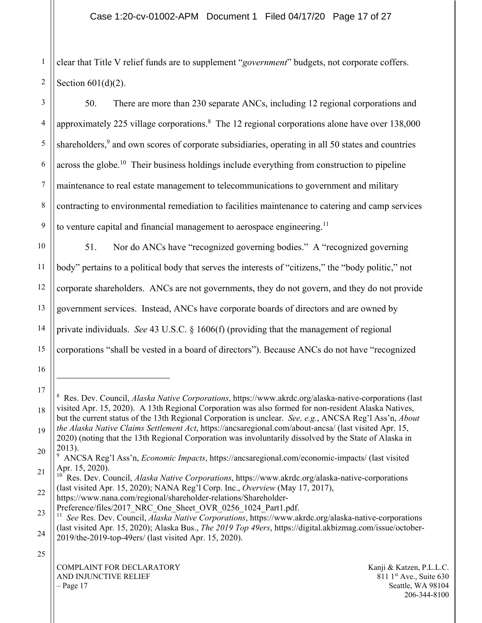1 2 clear that Title V relief funds are to supplement "*government*" budgets, not corporate coffers. Section  $601(d)(2)$ .

3 4 5 6 7 8 9 50. There are more than 230 separate ANCs, including 12 regional corporations and approximately 225 village corporations. $8$  The 12 regional corporations alone have over 138,000 shareholders,<sup>9</sup> and own scores of corporate subsidiaries, operating in all 50 states and countries across the globe.<sup>10</sup> Their business holdings include everything from construction to pipeline maintenance to real estate management to telecommunications to government and military contracting to environmental remediation to facilities maintenance to catering and camp services to venture capital and financial management to aerospace engineering.<sup>11</sup>

10 11 12 13 14 15 51. Nor do ANCs have "recognized governing bodies." A "recognized governing body" pertains to a political body that serves the interests of "citizens," the "body politic," not corporate shareholders. ANCs are not governments, they do not govern, and they do not provide government services. Instead, ANCs have corporate boards of directors and are owned by private individuals. *See* 43 U.S.C. § 1606(f) (providing that the management of regional corporations "shall be vested in a board of directors"). Because ANCs do not have "recognized

16

17

18

25

https://www.nana.com/regional/shareholder-relations/Shareholder-Preference/files/2017\_NRC\_One\_Sheet\_OVR\_0256\_1024\_Part1.pdf.

<sup>8</sup> Res. Dev. Council, *Alaska Native Corporations*, https://www.akrdc.org/alaska-native-corporations (last visited Apr. 15, 2020). A 13th Regional Corporation was also formed for non-resident Alaska Natives, but the current status of the 13th Regional Corporation is unclear. *See, e.g.*, ANCSA Reg'l Ass'n, *About* 

<sup>19</sup> *the Alaska Native Claims Settlement Act*, https://ancsaregional.com/about-ancsa/ (last visited Apr. 15, 2020) (noting that the 13th Regional Corporation was involuntarily dissolved by the State of Alaska in

<sup>20</sup> 2013).

<sup>9</sup> ANCSA Reg'l Ass'n, *Economic Impacts*, https://ancsaregional.com/economic-impacts/ (last visited Apr. 15, 2020).

<sup>21</sup> 22 10 Res. Dev. Council, *Alaska Native Corporations*, https://www.akrdc.org/alaska-native-corporations (last visited Apr. 15, 2020); NANA Reg'l Corp. Inc., *Overview* (May 17, 2017),

<sup>23</sup> 11 *See* Res. Dev. Council, *Alaska Native Corporations*, https://www.akrdc.org/alaska-native-corporations (last visited Apr. 15, 2020); Alaska Bus., *The 2019 Top 49ers*, https://digital.akbizmag.com/issue/october-

<sup>24</sup> 2019/the-2019-top-49ers/ (last visited Apr. 15, 2020).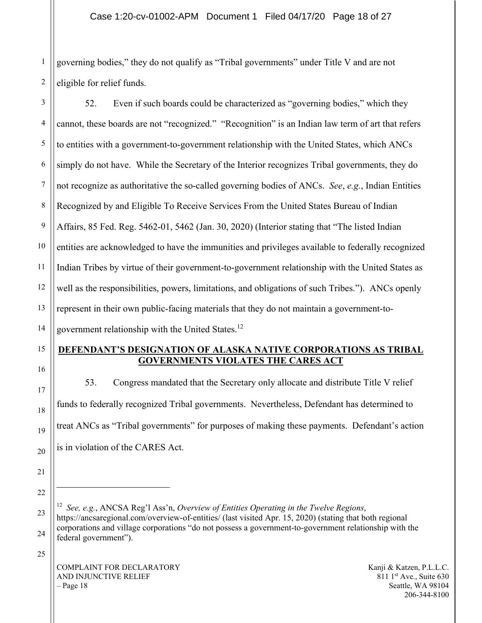1 2 governing bodies," they do not qualify as "Tribal governments" under Title V and are not eligible for relief funds.

3 4 5 6 7 8 9 10 11 12 13 14 52. Even if such boards could be characterized as "governing bodies," which they cannot, these boards are not "recognized." "Recognition" is an Indian law term of art that refers to entities with a government-to-government relationship with the United States, which ANCs simply do not have. While the Secretary of the Interior recognizes Tribal governments, they do not recognize as authoritative the so-called governing bodies of ANCs. *See*, *e.g.*, Indian Entities Recognized by and Eligible To Receive Services From the United States Bureau of Indian Affairs, 85 Fed. Reg. 5462-01, 5462 (Jan. 30, 2020) (Interior stating that "The listed Indian entities are acknowledged to have the immunities and privileges available to federally recognized Indian Tribes by virtue of their government-to-government relationship with the United States as well as the responsibilities, powers, limitations, and obligations of such Tribes."). ANCs openly represent in their own public-facing materials that they do not maintain a government-togovernment relationship with the United States.12

## **DEFENDANT'S DESIGNATION OF ALASKA NATIVE CORPORATIONS AS TRIBAL GOVERNMENTS VIOLATES THE CARES ACT**

53. Congress mandated that the Secretary only allocate and distribute Title V relief funds to federally recognized Tribal governments. Nevertheless, Defendant has determined to treat ANCs as "Tribal governments" for purposes of making these payments. Defendant's action is in violation of the CARES Act.

15

16

17

18

19

20

23

24

25

COMPLAINT FOR DECLARATORY AND INJUNCTIVE RELIEF  $-$  Page 18

<sup>21</sup>

<sup>22</sup>

<sup>12</sup> *See, e.g.*, ANCSA Reg'l Ass'n, *Overview of Entities Operating in the Twelve Regions*, https://ancsaregional.com/overview-of-entities/ (last visited Apr. 15, 2020) (stating that both regional corporations and village corporations "do not possess a government-to-government relationship with the federal government").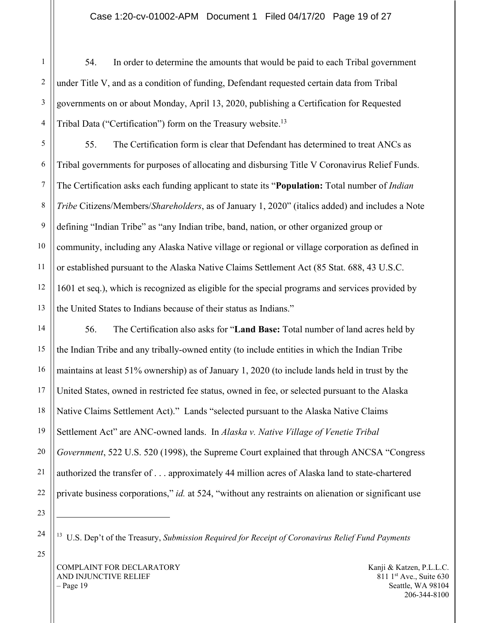4 54. In order to determine the amounts that would be paid to each Tribal government under Title V, and as a condition of funding, Defendant requested certain data from Tribal governments on or about Monday, April 13, 2020, publishing a Certification for Requested Tribal Data ("Certification") form on the Treasury website.13

55. The Certification form is clear that Defendant has determined to treat ANCs as Tribal governments for purposes of allocating and disbursing Title V Coronavirus Relief Funds. The Certification asks each funding applicant to state its "**Population:** Total number of *Indian Tribe* Citizens/Members/*Shareholders*, as of January 1, 2020" (italics added) and includes a Note defining "Indian Tribe" as "any Indian tribe, band, nation, or other organized group or community, including any Alaska Native village or regional or village corporation as defined in or established pursuant to the Alaska Native Claims Settlement Act (85 Stat. 688, 43 U.S.C. 1601 et seq.), which is recognized as eligible for the special programs and services provided by the United States to Indians because of their status as Indians."

14 15 16 17 18 19 20 21 22 56. The Certification also asks for "**Land Base:** Total number of land acres held by the Indian Tribe and any tribally-owned entity (to include entities in which the Indian Tribe maintains at least 51% ownership) as of January 1, 2020 (to include lands held in trust by the United States, owned in restricted fee status, owned in fee, or selected pursuant to the Alaska Native Claims Settlement Act)." Lands "selected pursuant to the Alaska Native Claims Settlement Act" are ANC-owned lands. In *Alaska v. Native Village of Venetie Tribal Government*, 522 U.S. 520 (1998), the Supreme Court explained that through ANCSA "Congress authorized the transfer of . . . approximately 44 million acres of Alaska land to state-chartered private business corporations," *id.* at 524, "without any restraints on alienation or significant use

23

24

25

1

2

3

5

6

7

8

9

10

11

12

13

13 U.S. Dep't of the Treasury, *Submission Required for Receipt of Coronavirus Relief Fund Payments*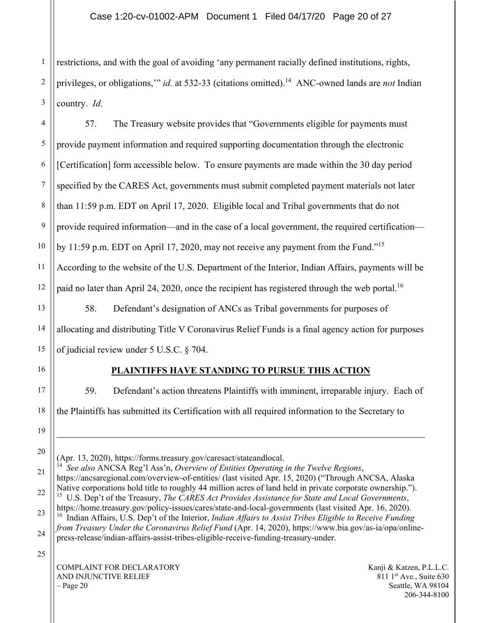1 2 3 restrictions, and with the goal of avoiding 'any permanent racially defined institutions, rights, privileges, or obligations," *id.* at 532-33 (citations omitted).<sup>14</sup> ANC-owned lands are *not* Indian country. *Id*.

4 5 6 7 8 9 10 11 12 57. The Treasury website provides that "Governments eligible for payments must provide payment information and required supporting documentation through the electronic [Certification] form accessible below. To ensure payments are made within the 30 day period specified by the CARES Act, governments must submit completed payment materials not later than 11:59 p.m. EDT on April 17, 2020. Eligible local and Tribal governments that do not provide required information—and in the case of a local government, the required certification by 11:59 p.m. EDT on April 17, 2020, may not receive any payment from the Fund."15 According to the website of the U.S. Department of the Interior, Indian Affairs, payments will be paid no later than April 24, 2020, once the recipient has registered through the web portal.<sup>16</sup>

13 14 15 58. Defendant's designation of ANCs as Tribal governments for purposes of allocating and distributing Title V Coronavirus Relief Funds is a final agency action for purposes of judicial review under 5 U.S.C. § 704.

16

17

18

19

20

# **PLAINTIFFS HAVE STANDING TO PURSUE THIS ACTION**

59. Defendant's action threatens Plaintiffs with imminent, irreparable injury. Each of the Plaintiffs has submitted its Certification with all required information to the Secretary to

(Apr. 13, 2020), https://forms.treasury.gov/caresact/stateandlocal.

21 22 23 24 14 *See also* ANCSA Reg'l Ass'n, *Overview of Entities Operating in the Twelve Regions*, https://ancsaregional.com/overview-of-entities/ (last visited Apr. 15, 2020) ("Through ANCSA, Alaska Native corporations hold title to roughly 44 million acres of land held in private corporate ownership."). 15 U.S. Dep't of the Treasury, *The CARES Act Provides Assistance for State and Local Governments*, https://home.treasury.gov/policy-issues/cares/state-and-local-governments (last visited Apr. 16, 2020). 16 Indian Affairs, U.S. Dep't of the Interior, *Indian Affairs to Assist Tribes Eligible to Receive Funding from Treasury Under the Coronavirus Relief Fund* (Apr. 14, 2020), https://www.bia.gov/as-ia/opa/onlinepress-release/indian-affairs-assist-tribes-eligible-receive-funding-treasury-under.

25

COMPLAINT FOR DECLARATORY AND INJUNCTIVE RELIEF  $-$  Page 20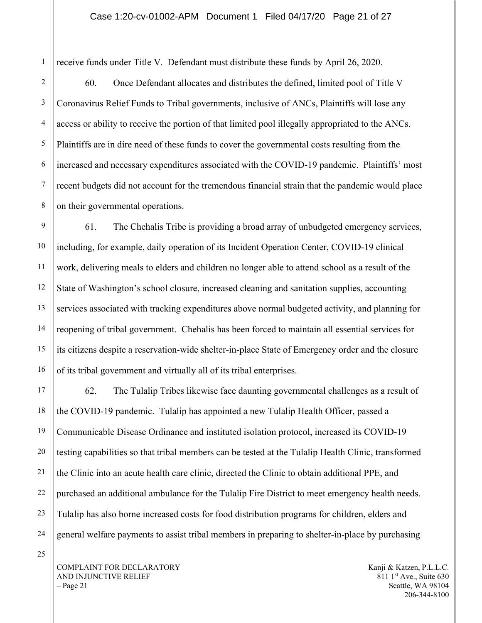receive funds under Title V. Defendant must distribute these funds by April 26, 2020.

2 3 4 5 6 7 8 60. Once Defendant allocates and distributes the defined, limited pool of Title V Coronavirus Relief Funds to Tribal governments, inclusive of ANCs, Plaintiffs will lose any access or ability to receive the portion of that limited pool illegally appropriated to the ANCs. Plaintiffs are in dire need of these funds to cover the governmental costs resulting from the increased and necessary expenditures associated with the COVID-19 pandemic. Plaintiffs' most recent budgets did not account for the tremendous financial strain that the pandemic would place on their governmental operations.

9 10 11 12 13 14 15 16 61. The Chehalis Tribe is providing a broad array of unbudgeted emergency services, including, for example, daily operation of its Incident Operation Center, COVID-19 clinical work, delivering meals to elders and children no longer able to attend school as a result of the State of Washington's school closure, increased cleaning and sanitation supplies, accounting services associated with tracking expenditures above normal budgeted activity, and planning for reopening of tribal government. Chehalis has been forced to maintain all essential services for its citizens despite a reservation-wide shelter-in-place State of Emergency order and the closure of its tribal government and virtually all of its tribal enterprises.

17 18 19 20 21 22 23 24 62. The Tulalip Tribes likewise face daunting governmental challenges as a result of the COVID-19 pandemic. Tulalip has appointed a new Tulalip Health Officer, passed a Communicable Disease Ordinance and instituted isolation protocol, increased its COVID-19 testing capabilities so that tribal members can be tested at the Tulalip Health Clinic, transformed the Clinic into an acute health care clinic, directed the Clinic to obtain additional PPE, and purchased an additional ambulance for the Tulalip Fire District to meet emergency health needs. Tulalip has also borne increased costs for food distribution programs for children, elders and general welfare payments to assist tribal members in preparing to shelter-in-place by purchasing

25

1

COMPLAINT FOR DECLARATORY AND INJUNCTIVE RELIEF  $-$  Page 21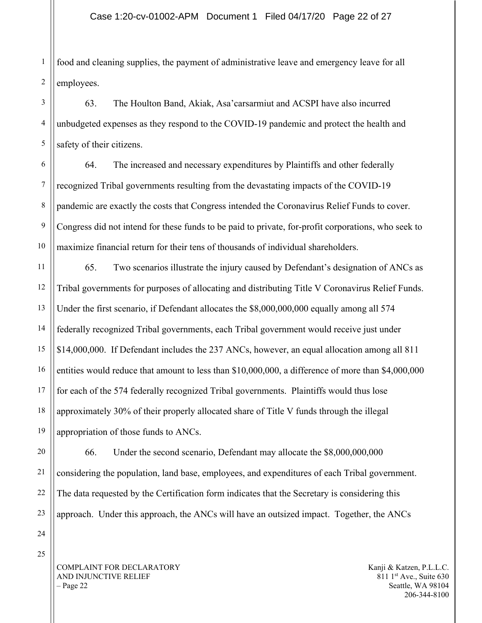1 2 food and cleaning supplies, the payment of administrative leave and emergency leave for all employees.

63. The Houlton Band, Akiak, Asa'carsarmiut and ACSPI have also incurred unbudgeted expenses as they respond to the COVID-19 pandemic and protect the health and safety of their citizens.

6 8 9 10 64. The increased and necessary expenditures by Plaintiffs and other federally recognized Tribal governments resulting from the devastating impacts of the COVID-19 pandemic are exactly the costs that Congress intended the Coronavirus Relief Funds to cover. Congress did not intend for these funds to be paid to private, for-profit corporations, who seek to maximize financial return for their tens of thousands of individual shareholders.

65. Two scenarios illustrate the injury caused by Defendant's designation of ANCs as Tribal governments for purposes of allocating and distributing Title V Coronavirus Relief Funds. Under the first scenario, if Defendant allocates the \$8,000,000,000 equally among all 574 federally recognized Tribal governments, each Tribal government would receive just under \$14,000,000. If Defendant includes the 237 ANCs, however, an equal allocation among all 811 entities would reduce that amount to less than \$10,000,000, a difference of more than \$4,000,000 for each of the 574 federally recognized Tribal governments. Plaintiffs would thus lose approximately 30% of their properly allocated share of Title V funds through the illegal appropriation of those funds to ANCs.

66. Under the second scenario, Defendant may allocate the \$8,000,000,000 considering the population, land base, employees, and expenditures of each Tribal government. The data requested by the Certification form indicates that the Secretary is considering this approach. Under this approach, the ANCs will have an outsized impact. Together, the ANCs

25

3

4

5

7

11

12

13

14

15

16

17

18

19

20

21

22

23

24

COMPLAINT FOR DECLARATORY AND INJUNCTIVE RELIEF – Page 22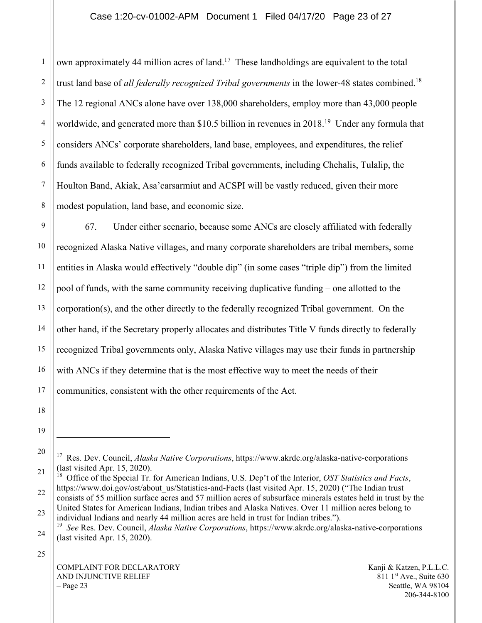#### Case 1:20-cv-01002-APM Document 1 Filed 04/17/20 Page 23 of 27

1 2 3 4 5 6 7 8 own approximately 44 million acres of land.<sup>17</sup> These landholdings are equivalent to the total trust land base of *all federally recognized Tribal governments* in the lower-48 states combined.18 The 12 regional ANCs alone have over 138,000 shareholders, employ more than 43,000 people worldwide, and generated more than \$10.5 billion in revenues in  $2018$ <sup>19</sup> Under any formula that considers ANCs' corporate shareholders, land base, employees, and expenditures, the relief funds available to federally recognized Tribal governments, including Chehalis, Tulalip, the Houlton Band, Akiak, Asa'carsarmiut and ACSPI will be vastly reduced, given their more modest population, land base, and economic size.

9 10 11 12 13 14 15 16 17 67. Under either scenario, because some ANCs are closely affiliated with federally recognized Alaska Native villages, and many corporate shareholders are tribal members, some entities in Alaska would effectively "double dip" (in some cases "triple dip") from the limited pool of funds, with the same community receiving duplicative funding – one allotted to the corporation(s), and the other directly to the federally recognized Tribal government. On the other hand, if the Secretary properly allocates and distributes Title V funds directly to federally recognized Tribal governments only, Alaska Native villages may use their funds in partnership with ANCs if they determine that is the most effective way to meet the needs of their communities, consistent with the other requirements of the Act.

18 19

20

25

21 22 18 Office of the Special Tr. for American Indians, U.S. Dep't of the Interior, *OST Statistics and Facts*, https://www.doi.gov/ost/about\_us/Statistics-and-Facts (last visited Apr. 15, 2020) ("The Indian trust consists of 55 million surface acres and 57 million acres of subsurface minerals estates held in trust by the

COMPLAINT FOR DECLARATORY AND INJUNCTIVE RELIEF  $-$  Page 23

<sup>17</sup> Res. Dev. Council, *Alaska Native Corporations*, https://www.akrdc.org/alaska-native-corporations (last visited Apr. 15, 2020).

<sup>23</sup> United States for American Indians, Indian tribes and Alaska Natives. Over 11 million acres belong to individual Indians and nearly 44 million acres are held in trust for Indian tribes.").

<sup>24</sup> 19 *See* Res. Dev. Council, *Alaska Native Corporations*, https://www.akrdc.org/alaska-native-corporations (last visited Apr. 15, 2020).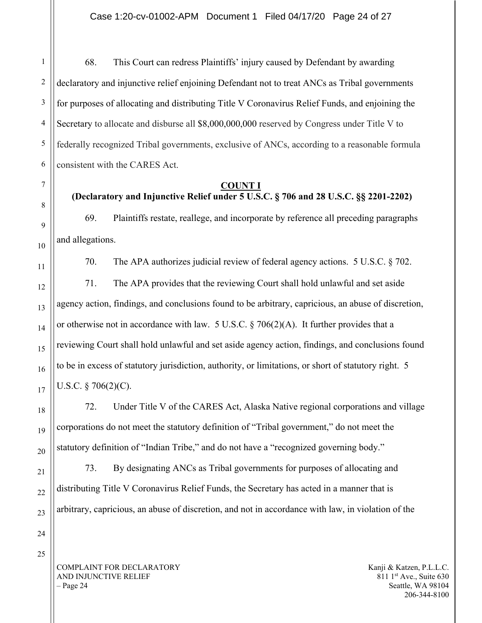Case 1:20-cv-01002-APM Document 1 Filed 04/17/20 Page 24 of 27

 68. This Court can redress Plaintiffs' injury caused by Defendant by awarding declaratory and injunctive relief enjoining Defendant not to treat ANCs as Tribal governments for purposes of allocating and distributing Title V Coronavirus Relief Funds, and enjoining the Secretary to allocate and disburse all \$8,000,000,000 reserved by Congress under Title V to federally recognized Tribal governments, exclusive of ANCs, according to a reasonable formula consistent with the CARES Act.

#### **COUNT I**

## **(Declaratory and Injunctive Relief under 5 U.S.C. § 706 and 28 U.S.C. §§ 2201-2202)**

69. Plaintiffs restate, reallege, and incorporate by reference all preceding paragraphs and allegations.

70. The APA authorizes judicial review of federal agency actions. 5 U.S.C. § 702. 71. The APA provides that the reviewing Court shall hold unlawful and set aside agency action, findings, and conclusions found to be arbitrary, capricious, an abuse of discretion, or otherwise not in accordance with law. 5 U.S.C.  $\S$  706(2)(A). It further provides that a reviewing Court shall hold unlawful and set aside agency action, findings, and conclusions found to be in excess of statutory jurisdiction, authority, or limitations, or short of statutory right. 5 U.S.C. § 706(2)(C).

72. Under Title V of the CARES Act, Alaska Native regional corporations and village corporations do not meet the statutory definition of "Tribal government," do not meet the statutory definition of "Indian Tribe," and do not have a "recognized governing body."

73. By designating ANCs as Tribal governments for purposes of allocating and distributing Title V Coronavirus Relief Funds, the Secretary has acted in a manner that is arbitrary, capricious, an abuse of discretion, and not in accordance with law, in violation of the

25

1

2

3

4

5

6

7

8

9

10

11

12

13

14

15

16

17

18

19

20

21

22

23

24

COMPLAINT FOR DECLARATORY AND INJUNCTIVE RELIEF – Page 24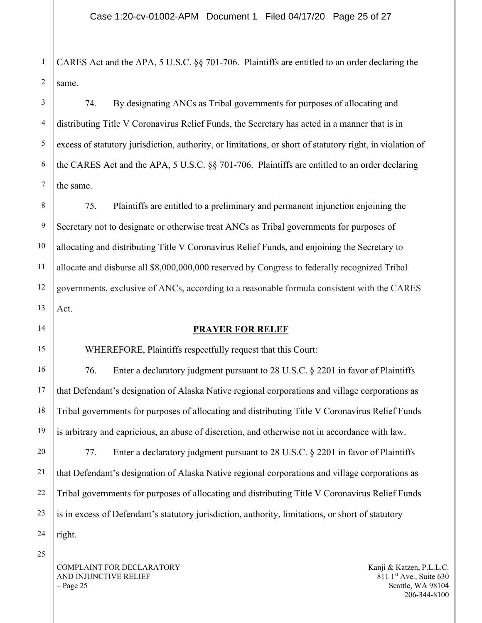1 2 CARES Act and the APA, 5 U.S.C. §§ 701-706. Plaintiffs are entitled to an order declaring the same.

74. By designating ANCs as Tribal governments for purposes of allocating and distributing Title V Coronavirus Relief Funds, the Secretary has acted in a manner that is in excess of statutory jurisdiction, authority, or limitations, or short of statutory right, in violation of the CARES Act and the APA, 5 U.S.C. §§ 701-706. Plaintiffs are entitled to an order declaring the same.

 75. Plaintiffs are entitled to a preliminary and permanent injunction enjoining the Secretary not to designate or otherwise treat ANCs as Tribal governments for purposes of allocating and distributing Title V Coronavirus Relief Funds, and enjoining the Secretary to allocate and disburse all \$8,000,000,000 reserved by Congress to federally recognized Tribal governments, exclusive of ANCs, according to a reasonable formula consistent with the CARES Act.

#### **PRAYER FOR RELEF**

WHEREFORE, Plaintiffs respectfully request that this Court:

76. Enter a declaratory judgment pursuant to 28 U.S.C. § 2201 in favor of Plaintiffs that Defendant's designation of Alaska Native regional corporations and village corporations as Tribal governments for purposes of allocating and distributing Title V Coronavirus Relief Funds is arbitrary and capricious, an abuse of discretion, and otherwise not in accordance with law.

77. Enter a declaratory judgment pursuant to 28 U.S.C. § 2201 in favor of Plaintiffs that Defendant's designation of Alaska Native regional corporations and village corporations as Tribal governments for purposes of allocating and distributing Title V Coronavirus Relief Funds is in excess of Defendant's statutory jurisdiction, authority, limitations, or short of statutory right.

25

COMPLAINT FOR DECLARATORY AND INJUNCTIVE RELIEF – Page 25

Kanji & Katzen, P.L.L.C. 811 1<sup>st</sup> Ave., Suite 630 Seattle, WA 98104 206-344-8100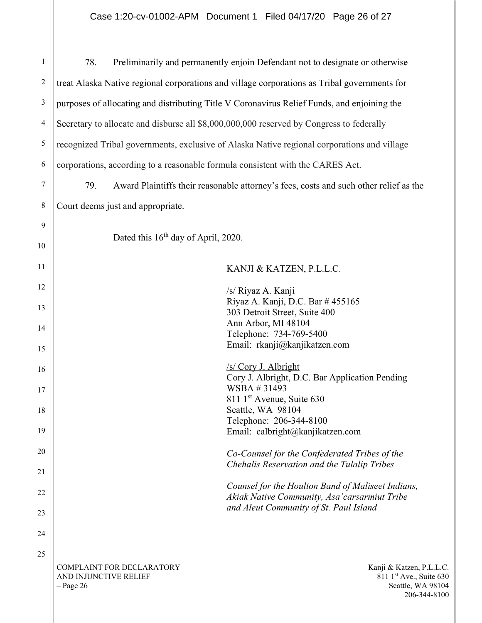| 1              | Preliminarily and permanently enjoin Defendant not to designate or otherwise<br>78.                                                                                     |  |  |  |
|----------------|-------------------------------------------------------------------------------------------------------------------------------------------------------------------------|--|--|--|
| $\overline{2}$ | treat Alaska Native regional corporations and village corporations as Tribal governments for                                                                            |  |  |  |
| 3              | purposes of allocating and distributing Title V Coronavirus Relief Funds, and enjoining the                                                                             |  |  |  |
| 4              | Secretary to allocate and disburse all \$8,000,000,000 reserved by Congress to federally                                                                                |  |  |  |
| 5              | recognized Tribal governments, exclusive of Alaska Native regional corporations and village                                                                             |  |  |  |
| 6              | corporations, according to a reasonable formula consistent with the CARES Act.                                                                                          |  |  |  |
| 7              | 79.<br>Award Plaintiffs their reasonable attorney's fees, costs and such other relief as the                                                                            |  |  |  |
| $8\phantom{1}$ | Court deems just and appropriate.                                                                                                                                       |  |  |  |
| 9              | Dated this 16 <sup>th</sup> day of April, 2020.                                                                                                                         |  |  |  |
| $10\,$         |                                                                                                                                                                         |  |  |  |
| 11             | KANJI & KATZEN, P.L.L.C.                                                                                                                                                |  |  |  |
| 12             | /s/ Riyaz A. Kanji                                                                                                                                                      |  |  |  |
| 13             | Riyaz A. Kanji, D.C. Bar # 455165<br>303 Detroit Street, Suite 400                                                                                                      |  |  |  |
| 14             | Ann Arbor, MI 48104                                                                                                                                                     |  |  |  |
|                | Telephone: 734-769-5400<br>Email: rkanji@kanjikatzen.com                                                                                                                |  |  |  |
| 15             |                                                                                                                                                                         |  |  |  |
| 16             | /s/ Cory J. Albright<br>Cory J. Albright, D.C. Bar Application Pending                                                                                                  |  |  |  |
| 17             | WSBA #31493                                                                                                                                                             |  |  |  |
|                | 811 1st Avenue, Suite 630                                                                                                                                               |  |  |  |
| 18             | Seattle, WA 98104<br>Telephone: 206-344-8100                                                                                                                            |  |  |  |
| 19             | Email: calbright@kanjikatzen.com                                                                                                                                        |  |  |  |
| 20             | Co-Counsel for the Confederated Tribes of the                                                                                                                           |  |  |  |
| 21             | Chehalis Reservation and the Tulalip Tribes                                                                                                                             |  |  |  |
| 22             | Counsel for the Houlton Band of Maliseet Indians,<br>Akiak Native Community, Asa'carsarmiut Tribe                                                                       |  |  |  |
| 23             | and Aleut Community of St. Paul Island                                                                                                                                  |  |  |  |
| 24             |                                                                                                                                                                         |  |  |  |
| 25             |                                                                                                                                                                         |  |  |  |
|                | COMPLAINT FOR DECLARATORY<br>Kanji & Katzen, P.L.L.C.<br>AND INJUNCTIVE RELIEF<br>811 1 <sup>st</sup> Ave., Suite 630<br>Seattle, WA 98104<br>– Page 26<br>206-344-8100 |  |  |  |

 $\parallel$